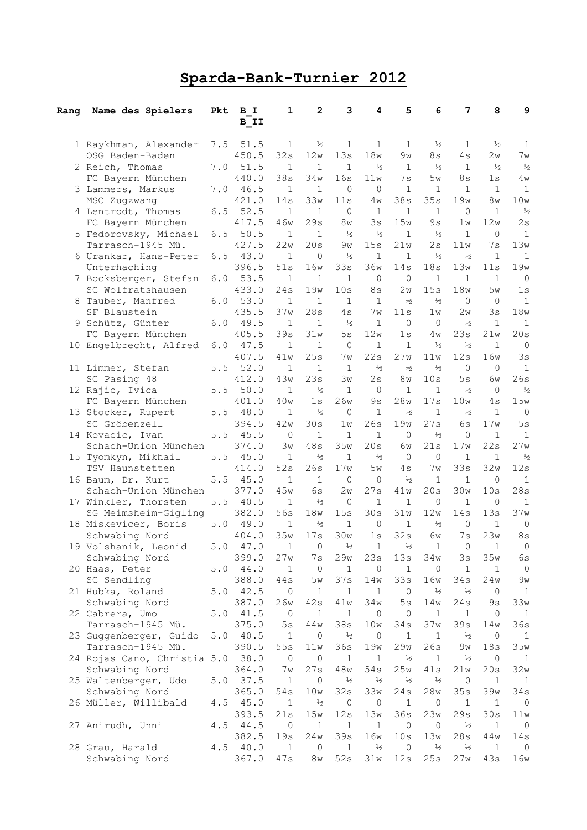## Sparda-Bank-Turnier 2012

| Ranq | Name des Spielers                           | Pkt | B I<br>B II   | 1                  | $\mathbf{2}$        | 3                    | 4                 | 5                   | 6                    | 7             | 8             | 9                   |
|------|---------------------------------------------|-----|---------------|--------------------|---------------------|----------------------|-------------------|---------------------|----------------------|---------------|---------------|---------------------|
|      | 1 Raykhman, Alexander                       | 7.5 | 51.5          | 1                  | $\frac{1}{2}$       | 1                    | $\mathbf{1}$      | $\mathbf{1}$        | $\frac{1}{2}$        | $\mathbf{1}$  | $\frac{1}{2}$ | 1                   |
|      | OSG Baden-Baden                             |     | 450.5         | 32s                | 12w                 | 13s                  | 18w               | 9w                  | 8s                   | 4 s           | 2w            | 7w                  |
|      | 2 Reich, Thomas                             | 7.0 | 51.5          | $\mathbf{1}$       | $\mathbf{1}$        | $\mathbf{1}$         | $\frac{1}{2}$     | $\mathbf{1}$        | $\frac{1}{2}$        | $\mathbf{1}$  | $\frac{1}{2}$ | $\frac{1}{2}$       |
|      | FC Bayern München                           |     | 440.0         | 38s                | 34w                 | 16s                  | 11w               | 7s                  | 5w                   | 8s            | 1s            | 4 w                 |
|      | 3 Lammers, Markus                           | 7.0 | 46.5          | $\mathbf{1}$       | $\mathbf{1}$        | $\Omega$             | 0                 | $\mathbf{1}$        | 1                    | $\mathbf{1}$  | $\mathbf{1}$  | $\mathbf 1$         |
|      | MSC Zugzwang                                |     | 421.0         | 14s                | 33w                 | 11s                  | 4 <sub>W</sub>    | 38s                 | 35s                  | 19w           | 8w            | 10w                 |
|      | 4 Lentrodt, Thomas                          | 6.5 | 52.5          | $\mathbf 1$        | $\mathbf{1}$        | $\circ$              | $\mathbf{1}$      | $\mathbf{1}$        | $\mathbf{1}$         | 0             | $\mathbf{1}$  | $\frac{1}{2}$       |
|      | FC Bayern München                           |     | 417.5         | 46w                | 29s                 | 8w                   | 3s                | 15w                 | 9s                   | 1w            | 12w           | 2s                  |
|      | 5 Fedorovsky, Michael                       | 6.5 | 50.5          | 1                  | $\mathbf{1}$        | $\frac{1}{2}$        | $\frac{1}{2}$     | 1                   | $\frac{1}{2}$        | $\mathbf{1}$  | 0             | $\mathbf{1}$        |
|      | Tarrasch-1945 Mü.                           |     | 427.5         | 22w                | 20s                 | 9w                   | 15s               | 21w                 | 2s                   | 11w           | 7s            | 13w                 |
|      | 6 Urankar, Hans-Peter                       | 6.5 | 43.0          | 1                  | 0                   | $\frac{1}{2}$        | 1                 | $\mathbf 1$         | $\frac{1}{2}$        | $\frac{1}{2}$ | $\mathbf 1$   | 1                   |
|      | Unterhaching                                |     | 396.5         | 51s                | 16w                 | 33s                  | 36w               | 14s                 | 18s                  | 13w           | 11s           | 19w                 |
|      | 7 Bocksberger, Stefan                       | 6.0 | 53.5          | $\mathbf{1}$       | $\mathbf{1}$        | 1                    | $\mathbf{0}$      | $\mathbf{0}$        | $\mathbf 1$          | $\mathbf{1}$  | 1             | $\mathbf{0}$        |
|      | SC Wolfratshausen                           | 6.0 | 433.0<br>53.0 | 24s<br>$\mathbf 1$ | 19w<br>$\mathbf{1}$ | 10s<br>1             | 8s<br>$\mathbf 1$ | 2w<br>$\frac{1}{2}$ | 15s<br>$\frac{1}{2}$ | 18w<br>0      | 5w<br>0       | 1s<br>$\mathbf{1}$  |
|      | 8 Tauber, Manfred<br>SF Blaustein           |     | 435.5         | 37w                | 28s                 | 4s                   | 7w                | 11s                 | 1w                   | 2w            | 3s            | 18w                 |
|      | 9 Schütz, Günter                            | 6.0 | 49.5          | $\mathbf 1$        | $\mathbf{1}$        | $\frac{1}{2}$        | $\mathbf 1$       | $\Omega$            | $\circ$              | $\frac{1}{2}$ | $\mathbf{1}$  | $\mathbf{1}$        |
|      | FC Bayern München                           |     | 405.5         | 39s                | 31w                 | 5s                   | 12w               | 1s                  | 4 w                  | 23s           | 21w           | 20s                 |
|      | 10 Engelbrecht, Alfred                      | 6.0 | 47.5          | 1                  | $\mathbf{1}$        | $\mathbf 0$          | $\mathbf 1$       | $\mathbf{1}$        | $\frac{1}{2}$        | $\frac{1}{2}$ | $\mathbf{1}$  | $\circ$             |
|      |                                             |     | 407.5         | 41w                | 25s                 | 7w                   | 22s               | 27w                 | 11w                  | 12s           | 16w           | 3s                  |
|      | 11 Limmer, Stefan                           | 5.5 | 52.0          | $\mathbf{1}$       | $\mathbf{1}$        | $\mathbf{1}$         | $\frac{1}{2}$     | $\frac{1}{2}$       | $\frac{1}{2}$        | $\Omega$      | $\Omega$      | $\mathbf{1}$        |
|      | SC Pasing 48                                |     | 412.0         | 43w                | 23s                 | Зw                   | 2s                | 8w                  | 10s                  | 5s            | 6w            | 26s                 |
|      | 12 Rajic, Ivica                             | 5.5 | 50.0          | $\mathbf{1}$       | $\frac{1}{2}$       | 1                    | 0                 | $\mathbf{1}$        | $\mathbf{1}$         | $\frac{1}{2}$ | $\mathbf{0}$  | $\frac{1}{2}$       |
|      | FC Bayern München                           |     | 401.0         | 40w                | 1s                  | 26w                  | 9s                | 28w                 | 17s                  | 10w           | 4 s           | 15w                 |
|      | 13 Stocker, Rupert                          | 5.5 | 48.0          | 1                  | $\frac{1}{2}$       | $\Omega$             | $\mathbf 1$       | $\frac{1}{2}$       | $\mathbf 1$          | $\frac{1}{2}$ | $\mathbf{1}$  | $\circ$             |
|      | SC Gröbenzell                               |     | 394.5         | 42w                | 30s                 | 1w                   | 26s               | 19w                 | 27s                  | 6s            | 17w           | 5s                  |
|      | 14 Kovacic, Ivan                            | 5.5 | 45.5          | 0                  | $\mathbf{1}$        | 1                    | $\mathbf{1}$      | $\Omega$            | $\frac{1}{2}$        | 0             | $\mathbf{1}$  | $\mathbf{1}$        |
|      | Schach-Union München                        |     | 374.0         | Зw                 | 48s                 | 35w                  | 20s               | 6w                  | 21s                  | 17w           | 22s           | 27w                 |
| 15   | Tyomkyn, Mikhail                            | 5.5 | 45.0          | 1                  | $\frac{1}{2}$       | 1                    | $\frac{1}{2}$     | $\Omega$            | 0                    | $\mathbf 1$   | $\mathbf{1}$  | $\frac{1}{2}$       |
|      | TSV Haunstetten                             |     | 414.0         | 52s                | 26s                 | 17w                  | 5w                | 4 s                 | 7 w                  | 33s           | 32w           | 12s                 |
|      | 16 Baum, Dr. Kurt                           | 5.5 | 45.0          | $\mathbf{1}$       | 1                   | $\Omega$             | $\mathbf{0}$      | $\frac{1}{2}$       | 1                    | $\mathbf{1}$  | 0             | 1                   |
|      | Schach-Union München                        |     | 377.0         | 45w                | 6s                  | 2w                   | 27s               | 41w                 | 20s                  | 30w           | 10s           | 28s                 |
|      | 17 Winkler, Thorsten                        | 5.5 | 40.5          | $\mathbf 1$        | $\frac{1}{2}$       | $\circ$              | $\mathbf 1$       | $\mathbf 1$         | $\circ$              | $\mathbf{1}$  | $\circ$       | $\mathbf{1}$        |
|      | SG Meimsheim-Gigling                        |     | 382.0         | 56s                | 18w                 | 15s                  | 30s               | 31w                 | 12w                  | 14s           | 13s           | 37w                 |
|      | 18 Miskevicer, Boris                        | 5.0 | 49.0          | $\mathbf 1$        | $\frac{1}{2}$       | $\mathbf 1$          | $\mathbf{0}$      | $\mathbf{1}$        | $\frac{1}{2}$        | $\mathbf 0$   | $\mathbf{1}$  | $\circ$             |
|      | Schwabing Nord                              |     | 404.0         | 35w                | 17s                 | 30w                  | 1s                | 32s                 | 6w                   | 7s            | 23w           | 8s                  |
|      | 19 Volshanik, Leonid                        | 5.0 | 47.0          | 1                  | 0                   | ½                    | 1                 | ⅓                   | 1                    | 0             | $\mathbf 1$   | 0                   |
|      | Schwabing Nord                              |     | 399.0         | 27w                | 7s                  | 29w                  | 23s               | 13s                 | 34w                  | 3s            | 35w           | 6s                  |
|      | 20 Haas, Peter                              | 5.0 | 44.0          | 1                  | 0                   | $\mathbf 1$          | 0                 | 1                   | 0                    | 1             | 1             | 0                   |
|      | SC Sendling                                 |     | 388.0         | 44s                | 5w                  | 37s                  | 14w               | 33s                 | 16w                  | 34s           | 24w           | 9w                  |
|      | 21 Hubka, Roland                            | 5.0 | 42.5          | 0                  | 1                   | $\mathbf 1$          | 1                 | 0                   | $\frac{1}{2}$        | ⅓             | 0             | $\mathbf{1}$        |
|      | Schwabing Nord                              |     | 387.0         | 26w                | 42s                 | 41w                  | 34w               | 5s                  | 14w                  | 24s           | 9s            | 33w                 |
|      | 22 Cabrera, Umo                             | 5.0 | 41.5          | $\circ$            | $\mathbf{1}$        | $1\,$                | $\circ$           | 0                   | $\mathbf{1}$         | $\mathbf{1}$  | $\circ$       | $\mathbf{1}$        |
|      | Tarrasch-1945 Mü.                           |     | 375.0<br>40.5 | 5s<br>$\mathbf 1$  | 44w<br>0            | 38s<br>$\frac{1}{2}$ | 10w<br>$\circ$    | 34s<br>1            | 37w<br>$\mathbf{1}$  | 39s<br>⅓      | 14w           | 36s                 |
|      | 23 Guggenberger, Guido<br>Tarrasch-1945 Mü. | 5.0 | 390.5         | 55s                | 11w                 | 36s                  | 19w               | 29w                 | 26s                  | 9w            | 0<br>18s      | $\mathbf{1}$<br>35w |
|      | 24 Rojas Cano, Christia 5.0                 |     | 38.0          | 0                  | 0                   | $\mathbf 1$          | 1                 | $\frac{1}{2}$       | $\mathbf 1$          | $\frac{1}{2}$ | 0             | $\mathbf{1}$        |
|      | Schwabing Nord                              |     | 364.0         | 7w                 | 27s                 | 48w                  | 54s               | 25w                 | 41s                  | 21w           | 20s           | 32w                 |
|      | 25 Waltenberger, Udo                        | 5.0 | 37.5          | $\mathbf 1$        | 0                   | $\frac{1}{2}$        | $\frac{1}{2}$     | $\frac{1}{2}$       | $\frac{1}{2}$        | 0             | $\mathbf 1$   | 1                   |
|      | Schwabing Nord                              |     | 365.0         | $54s$              | 10w                 | 32s                  | 33w               | 24s                 | 28w                  | 35s           | 39w           | 34s                 |
|      | 26 Müller, Willibald                        | 4.5 | 45.0          | $\mathbf 1$        | $\frac{1}{2}$       | $\circ$              | $\circ$           | $\mathbf 1$         | $\circ$              | $\mathbf{1}$  | $\mathbf 1$   | $\circ$             |
|      |                                             |     | 393.5         | 21s                | 15w                 | 12s                  | 13w               | 36s                 | 23w                  | 29s           | 30s           | $11w$               |
|      | 27 Anirudh, Unni                            | 4.5 | 44.5          | $\mathbf 0$        | $\mathbf 1$         | $\mathbf{1}$         | $\mathbf{1}$      | $\overline{0}$      | $\circ$              | $1/2$         | $\mathbf{1}$  | $\circ$             |
|      |                                             |     | 382.5         | 19s                | 24w                 | 39s                  | 16w               | 10s                 | 13w                  | 28s           | 44w           | 14s                 |
|      | 28 Grau, Harald                             | 4.5 | 40.0          | $\mathbf 1$        | 0                   | $\mathbf 1$          | $\frac{1}{2}$     | 0                   | $1/2$                | $1/2$         | 1             | $\circ$             |
|      | Schwabing Nord                              |     | 367.0         | 47s                | 8w                  | 52s                  | 31w               | 12s                 | 25s                  | 27w           | 43s           | 16w                 |